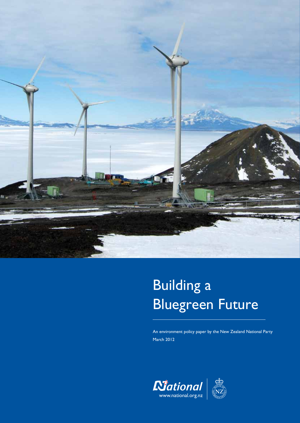

# Building a Bluegreen Future

An environment policy paper by the New Zealand National Party March 2012

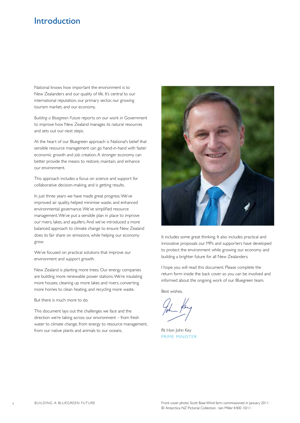### **Introduction**

National knows how important the environment is to New Zealanders and our quality of life. It's central to our international reputation, our primary sector, our growing tourism market, and our economy.

*Building a Bluegreen Future* reports on our work in Government to improve how New Zealand manages its natural resources and sets out our next steps.

At the heart of our Bluegreen approach is National's belief that sensible resource management can go hand-in-hand with faster economic growth and job creation. A stronger economy can better provide the means to restore, maintain, and enhance our environment.

This approach includes a focus on science and support for collaborative decision-making, and is getting results.

In just three years we have made great progress. We've improved air quality, helped minimise waste, and enhanced environmental governance. We've simplified resource management. We've put a sensible plan in place to improve our rivers, lakes, and aquifers. And we've introduced a more balanced approach to climate change to ensure New Zealand does its fair share on emissions, while helping our economy grow.

We've focused on practical solutions that improve our environment and support growth.

New Zealand is planting more trees. Our energy companies are building more renewable power stations. We're insulating more houses, cleaning up more lakes and rivers, converting more homes to clean heating, and recycling more waste.

But there is much more to do.

This document lays out the challenges we face and the direction we're taking across our environment – from fresh water to climate change, from energy to resource management, from our native plants and animals to our oceans.



It includes some great thinking. It also includes practical and innovative proposals our MPs and supporters have developed to protect the environment while growing our economy and building a brighter future for all New Zealanders.

I hope you will read this document. Please complete the return form inside the back cover so you can be involved and informed about the ongoing work of our Bluegreen team.

Best wishes,

Rt Hon John Key PRIME MINISTER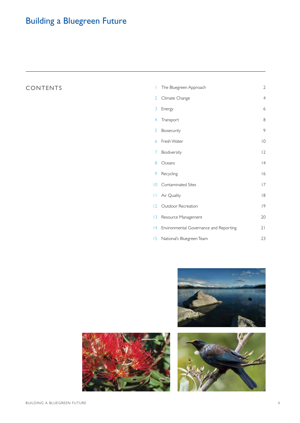# Building a Bluegreen Future

### **CONTENTS**

| I              | The Bluegreen Approach                    | $\overline{a}$           |
|----------------|-------------------------------------------|--------------------------|
| $\overline{2}$ | Climate Change                            | $\overline{4}$           |
| 3              | Energy                                    | $\epsilon$               |
| 4              | Transport                                 | 8                        |
| 5              | Biosecurity                               | 9                        |
| 6              | Fresh Water                               | $\overline{\phantom{a}}$ |
| 7              | Biodiversity                              | 2                        |
| 8              | Oceans                                    | 4                        |
| 9              | Recycling                                 | 6                        |
|                | 10 Contaminated Sites                     | 7                        |
|                | 11 Air Quality                            | 8                        |
|                | 12 Outdoor Recreation                     | 9                        |
| 3              | Resource Management                       | 20                       |
|                | 14 Environmental Governance and Reporting | 21                       |
|                | 15 National's Bluegreen Team              | 23                       |





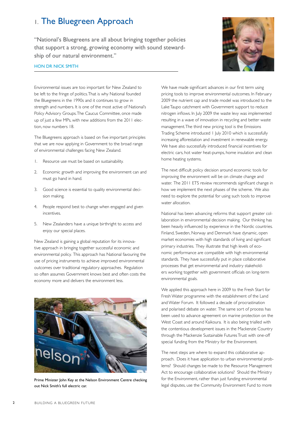### 1. The Bluegreen Approach

"National's Bluegreens are all about bringing together policies that support a strong, growing economy with sound stewardship of our natural environment."



#### Hon DR Nick Smith

Environmental issues are too important for New Zealand to be left to the fringe of politics. That is why National founded the Bluegreens in the 1990s and it continues to grow in strength and numbers. It is one of the most active of National's Policy Advisory Groups. The Caucus Committee, once made up of just a few MPs, with new additions from the 2011 election, now numbers 18.

The Bluegreens approach is based on five important principles that we are now applying in Government to the broad range of environmental challenges facing New Zealand.

- 1. Resource use must be based on sustainability.
- 2. Economic growth and improving the environment can and must go hand in hand.
- 3. Good science is essential to quality environmental decision making.
- 4. People respond best to change when engaged and given incentives.
- 5. New Zealanders have a unique birthright to access and enjoy our special places.

New Zealand is gaining a global reputation for its innovative approach in bringing together successful economic and environmental policy. This approach has National favouring the use of pricing instruments to achieve improved environmental outcomes over traditional regulatory approaches. Regulation so often assumes Government knows best and often costs the economy more and delivers the environment less.



Prime Minister John Key at the Nelson Environment Centre checking out Nick Smith's full electric car.

We have made significant advances in our first term using pricing tools to improve environmental outcomes. In February 2009 the nutrient cap and trade model was introduced to the Lake Taupo catchment with Government support to reduce nitrogen inflows. In July 2009 the waste levy was implemented resulting in a wave of innovation in recycling and better waste management. The third new pricing tool is the Emissions Trading Scheme introduced 1 July 2010 which is successfully increasing afforestation and investment in renewable energy. We have also successfully introduced financial incentives for electric cars, hot water heat-pumps, home insulation and clean home heating systems.

The next difficult policy decision around economic tools for improving the environment will be on climate change and water. The 2011 ETS review recommends significant change in how we implement the next phases of the scheme. We also need to explore the potential for using such tools to improve water allocation.

National has been advancing reforms that support greater collaboration in environmental decision making. Our thinking has been heavily influenced by experience in the Nordic countries. Finland, Sweden, Norway and Denmark have dynamic, open market economies with high standards of living and significant primary industries. They illustrate that high levels of economic performance are compatible with high environmental standards. They have successfully put in place collaborative processes that get environmental and industry stakeholders working together with government officials on long-term environmental goals.

We applied this approach here in 2009 to the Fresh Start for Fresh Water programme with the establishment of the Land and Water Forum. It followed a decade of procrastination and polarised debate on water. The same sort of process has been used to advance agreement on marine protection on the West Coast and around Kaikoura. It is also being trialled with the contentious development issues in the Mackenzie Country through the Mackenzie Sustainable Futures Trust with one-off special funding from the Ministry for the Environment.

The next steps are where to expand this collaborative approach. Does it have application to urban environmental problems? Should changes be made to the Resource Management Act to encourage collaborative solutions? Should the Ministry for the Environment, rather than just funding environmental legal disputes, use the Community Environment Fund to more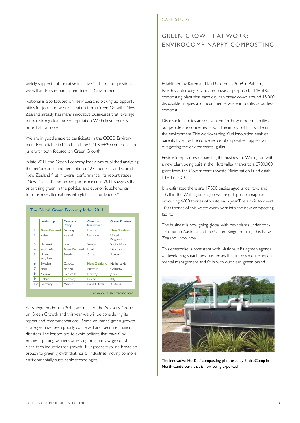widely support collaborative initiatives? These are questions we will address in our second term in Government.

National is also focused on New Zealand picking up opportunities for jobs and wealth creation from Green Growth. New Zealand already has many innovative businesses that leverage off our strong clean, green reputation. We believe there is potential for more.

We are in good shape to participate in the OECD Environment Roundtable in March and the UN Rio+20 conference in June with both focused on Green Growth.

In late 2011, the Green Economy Index was published analysing the performance and perception of 27 countries and scored New Zealand first in overall performance. Its report states "New Zealand's best green performance in 2011 suggests that prioritising green in the political and economic spheres can transform smaller nations into global sector leaders."

|                | Leadership         | <b>Domestic</b><br><b>Policy</b> | Clean-tech<br>Investment | <b>Green Tourism</b> |
|----------------|--------------------|----------------------------------|--------------------------|----------------------|
| Т              | <b>New Zealand</b> | Norway                           | Denmark                  | <b>New Zealand</b>   |
| $\mathcal{P}$  | Iceland            | Iceland                          | Germany                  | United<br>Kingdom    |
| 3              | Denmark            | Brazil                           | Sweden                   | South Africa         |
| 4              | South Africa       | <b>New Zealand</b>               | Israel                   | Denmark              |
| 5              | United<br>Kingdom  | Sweden                           | Canada                   | Sweden               |
| 6              | Sweden             | Canada                           | <b>New Zealand</b>       | Netherlands          |
| $\overline{7}$ | <b>Brazil</b>      | Finland                          | Australia                | Germany              |
| R              | Mexico             | Denmark                          | Norway                   | Japan                |
| 9              | Finland            | Germany                          | Finland                  | Italy                |
| 10             | Germany            | Mexico                           | <b>United States</b>     | Australia            |

At Bluegreens Forum 2011, we initiated the Advisory Group on Green Growth and this year we will be considering its report and recommendations. Some countries' green growth strategies have been poorly conceived and become financial disasters. The lessons are to avoid policies that have Government picking winners or relying on a narrow group of clean-tech industries for growth. Bluegreens favour a broad approach to green growth that has all industries moving to more environmentally sustainable technologies.

#### CASE STUDY

### Green Growth at Work: Envirocomp Nappy composting

Established by Karen and Karl Upston in 2009 in Balcairn, North Canterbury, EnviroComp uses a purpose built 'HotRot' composting plant that each day can break down around 15,000 disposable nappies and incontinence waste into safe, odourless compost.

Disposable nappies are convenient for busy modern families but people are concerned about the impact of this waste on the environment. This world-leading Kiwi innovation enables parents to enjoy the convenience of disposable nappies without getting the environmental guilts.

EnviroComp is now expanding the business to Wellington with a new plant being built in the Hutt Valley thanks to a \$700,000 grant from the Government's Waste Minimisation Fund established in 2010.

It is estimated there are 17,500 babies aged under two and a half in the Wellington region wearing disposable nappies producing 6600 tonnes of waste each year. The aim is to divert 1000 tonnes of this waste every year into the new composting facility.

The business is now going global with new plants under construction in Australia and the United Kingdom using this New Zealand know how.

This enterprise is consistent with National's Bluegreen agenda of developing smart new businesses that improve our environmental management and fit in with our clean, green brand.



The innovative 'HotRot' composting plant used by EnviroComp in North Canterbury that is now being exported.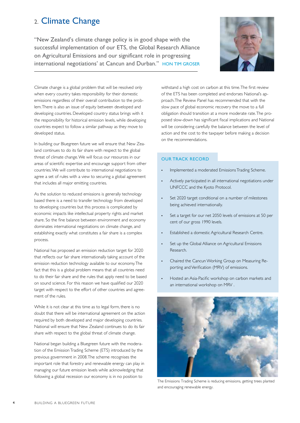### 2. Climate Change

"New Zealand's climate change policy is in good shape with the successful implementation of our ETS, the Global Research Alliance on Agricultural Emissions and our significant role in progressing international negotiations' at Cancun and Durban." Hon Tim Groser



Climate change is a global problem that will be resolved only when every country takes responsibility for their domestic emissions regardless of their overall contribution to the problem. There is also an issue of equity between developed and developing countries. Developed country status brings with it the responsibility for historical emission levels, while developing countries expect to follow a similar pathway as they move to developed status.

In building our Bluegreen future we will ensure that New Zealand continues to do its fair share with respect to the global threat of climate change. We will focus our resources in our areas of scientific expertise and encourage support from other countries. We will contribute to international negotiations to agree a set of rules with a view to securing a global agreement that includes all major emitting countries.

As the solution to reduced emissions is generally technology based there is a need to transfer technology from developed to developing countries but this process is complicated by economic impacts like intellectual property rights and market share. So the fine balance between environment and economy dominates international negotiations on climate change, and establishing exactly what constitutes a fair share is a complex process.

National has proposed an emission reduction target for 2020 that reflects our fair share internationally taking account of the emission reduction technology available to our economy. The fact that this is a global problem means that all countries need to do their fair share and the rules that apply need to be based on sound science. For this reason we have qualified our 2020 target with respect to the effort of other countries and agreement of the rules.

While it is not clear at this time as to legal form, there is no doubt that there will be international agreement on the action required by both developed and major developing countries. National will ensure that New Zealand continues to do its fair share with respect to the global threat of climate change.

National began building a Bluegreen future with the moderation of the Emission Trading Scheme (ETS) introduced by the previous government in 2008. The scheme recognises the important role that forestry and renewable energy can play in managing our future emission levels while acknowledging that following a global recession our economy is in no position to

withstand a high cost on carbon at this time. The first review of the ETS has been completed and endorses National's approach. The Review Panel has recommended that with the slow pace of global economic recovery the move to a full obligation should transition at a more moderate rate. The proposed slow-down has significant fiscal implications and National will be considering carefully the balance between the level of action and the cost to the taxpayer before making a decision on the recommendations.

#### Our Track Record

- Implemented a moderated Emissions Trading Scheme.
- Actively participated in all international negotiations under UNFCCC and the Kyoto Protocol.
- Set 2020 target conditional on a number of milestones being achieved internationally.
- Set a target for our net 2050 levels of emissions at 50 per cent of our gross 1990 levels.
- Established a domestic Agricultural Research Centre.
- Set up the Global Alliance on Agricultural Emissions Research.
- Chaired the Cancun Working Group on Measuring Reporting and Verification (MRV) of emissions.
- Hosted an Asia-Pacific workshop on carbon markets and an international workshop on MRV .



The Emissions Trading Scheme is reducing emissions, getting trees planted and encouraging renewable energy.

4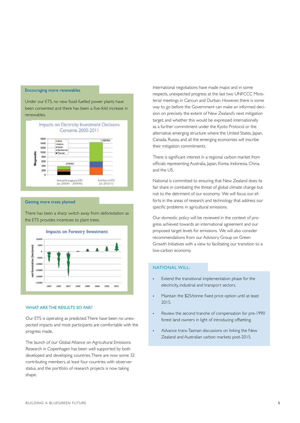#### Encouraging more renewables

Under our ETS, no new fossil-fuelled power plants have been consented and there has been a five-fold increase in renewables.



Getting more trees planted

There has been a sharp switch away from deforestation as the ETS provides incentives to plant trees.



#### WHAT ARE THE RESULTS SO FAR?

Our ETS is operating as predicted. There have been no unexpected impacts and most participants are comfortable with the progress made.

The launch of our Global Alliance on Agricultural Emissions Research in Copenhagen has been well supported by both developed and developing countries. There are now some 32 contributing members, at least four countries with observer status, and the portfolio of research projects is now taking shape.

International negotiations have made major, and in some respects, unexpected progress at the last two UNFCCC Ministerial meetings in Cancun and Durban. However, there is some way to go before the Government can make an informed decision on precisely the extent of New Zealand's next mitigation target, and whether this would be expressed internationally as a further commitment under the Kyoto Protocol or the alternative emerging structure where the United States, Japan, Canada, Russia, and all the emerging economies will inscribe their mitigation commitments.

There is significant interest in a regional carbon market from officials representing Australia, Japan, Korea, Indonesia, China, and the US.

National is committed to ensuring that New Zealand does its fair share in combating the threat of global climate change but not to the detriment of our economy. We will focus our efforts in the areas of research and technology that address our specific problems in agricultural emissions.

Our domestic policy will be reviewed in the context of progress achieved towards an international agreement and our proposed target levels for emissions. We will also consider recommendations from our Advisory Group on Green Growth Initiatives with a view to facilitating our transition to a low-carbon economy.

#### National will:

- • Extend the transitional implementation phase for the electricity, industrial and transport sectors.
- Maintain the \$25/tonne fixed price option until at least 2015.
- Review the second tranche of compensation for pre-1990 forest land owners in light of introducing offsetting.
- • Advance trans-Tasman discussions on linking the New Zealand and Australian carbon markets post-2015.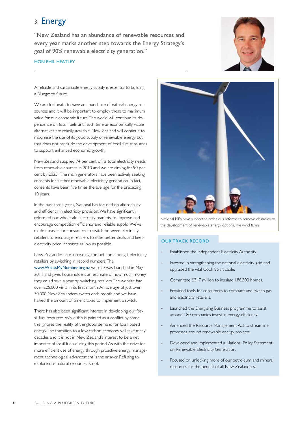### 3. Energy

"New Zealand has an abundance of renewable resources and every year marks another step towards the Energy Strategy's goal of 90% renewable electricity generation."

#### HON PHIL HEATLEY



A reliable and sustainable energy supply is essential to building a Bluegreen future.

We are fortunate to have an abundance of natural energy resources and it will be important to employ these to maximum value for our economic future. The world will continue its dependence on fossil fuels until such time as economically viable alternatives are readily available. New Zealand will continue to maximise the use of its good supply of renewable energy but that does not preclude the development of fossil fuel resources to support enhanced economic growth.

New Zealand supplied 74 per cent of its total electricity needs from renewable sources in 2010 and we are aiming for 90 per cent by 2025. The main generators have been actively seeking consents for further renewable electricity generation. In fact, consents have been five times the average for the preceding 10 years.

In the past three years, National has focused on affordability and efficiency in electricity provision. We have significantly reformed our wholesale electricity markets, to improve and encourage competition, efficiency and reliable supply. We've made it easier for consumers to switch between electricity retailers to encourage retailers to offer better deals, and keep electricity price increases as low as possible.

New Zealanders are increasing competition amongst electricity retailers by switching in record numbers. The

www.WhatsMyNumber.org.nz website was launched in May 2011 and gives householders an estimate of how much money they could save a year by switching retailers. The website had over 225,000 visits in its first month. An average of just over 30,000 New Zealanders switch each month and we have halved the amount of time it takes to implement a switch.

There has also been significant interest in developing our fossil fuel resources. While this is painted as a conflict by some, this ignores the reality of the global demand for fossil based energy. The transition to a low carbon economy will take many decades and it is not in New Zealand's interest to be a net importer of fossil fuels during this period. As with the drive for more efficient use of energy through proactive energy management, technological advancement is the answer. Refusing to explore our natural resources is not.



National MPs have supported ambitious reforms to remove obstacles to the development of renewable energy options, like wind farms.

#### Our Track record

- Established the independent Electricity Authority.
- Invested in strengthening the national electricity grid and upgraded the vital Cook Strait cable.
- Committed \$347 million to insulate 188,500 homes.
- Provided tools for consumers to compare and switch gas and electricity retailers.
- • Launched the Energising Business programme to assist around 180 companies invest in energy efficiency.
- Amended the Resource Management Act to streamline processes around renewable energy projects.
- Developed and implemented a National Policy Statement on Renewable Electricity Generation.
- • Focused on unlocking more of our petroleum and mineral resources for the benefit of all New Zealanders.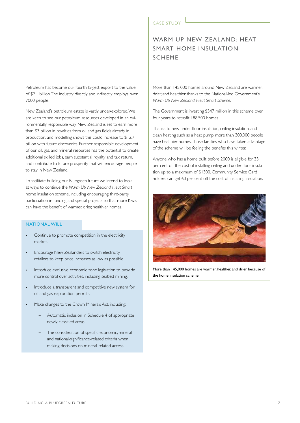Petroleum has become our fourth largest export to the value of \$2.1 billion. The industry directly and indirectly employs over 7000 people.

New Zealand's petroleum estate is vastly under-explored. We are keen to see our petroleum resources developed in an evironmentally responsible way. New Zealand is set to earn more than \$3 billion in royalties from oil and gas fields already in production, and modelling shows this could increase to \$12.7 billion with future discoveries. Further responsible development of our oil, gas, and mineral resources has the potential to create additional skilled jobs, earn substantial royalty and tax return, and contribute to future prosperity that will encourage people to stay in New Zealand.

To facilitate building our Bluegreen future we intend to look at ways to continue the *Warm Up New Zealand: Heat Smart* home insulation scheme, including encouraging third-party participation in funding and special projects so that more Kiwis can have the benefit of warmer, drier, healthier homes.

#### National will

- Continue to promote competition in the electricity market.
- Encourage New Zealanders to switch electricity retailers to keep price increases as low as possible.
- Introduce exclusive economic zone legislation to provide more control over activities, including seabed mining.
- Introduce a transparent and competitive new system for oil and gas exploration permits.
- Make changes to the Crown Minerals Act, including:
	- Automatic inclusion in Schedule 4 of appropriate newly classified areas.
	- The consideration of specific economic, mineral and national-significance-related criteria when making decisions on mineral-related access.

#### CASE STUDY

### WARM UP NEW ZEALAND: HEAT Smart Home Insulation scheme

More than 145,000 homes around New Zealand are warmer, drier, and healthier thanks to the National-led Government's *Warm Up New Zealand: Heat Smart scheme.*

The Government is investing \$347 million in this scheme over four years to retrofit 188,500 homes.

Thanks to new under-floor insulation, ceiling insulation, and clean heating such as a heat pump, more than 300,000 people have healthier homes. Those families who have taken advantage of the scheme will be feeling the benefits this winter.

Anyone who has a home built before 2000 is eligible for 33 per cent off the cost of installing ceiling and under-floor insulation up to a maximum of \$1300. Community Service Card holders can get 60 per cent off the cost of installing insulation.



More than 145,000 homes are warmer, healther, and drier because of the home insulation scheme.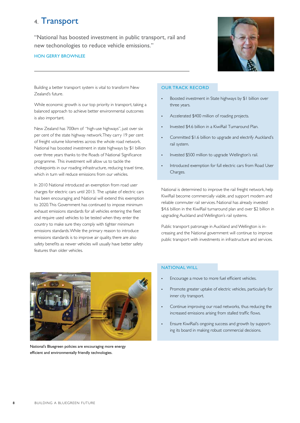### 4. Transport

"National has boosted investment in public transport, rail and new techonologies to reduce vehicle emissions."

#### Hon Gerry brownlee



Building a better transport system is vital to transform New Zealand's future.

While economic growth is our top priority in transport, taking a balanced approach to achieve better environmental outcomes is also important.

New Zealand has 700km of "high-use highways", just over six per cent of the state highway network. They carry 19 per cent of freight volume kilometres across the whole road network. National has boosted investment in state highways by \$1 billion over three years thanks to the Roads of National Significance programme. This investment will allow us to tackle the chokepoints in our roading infrastructure, reducing travel time, which in turn will reduce emissions from our vehicles.

In 2010 National introduced an exemption from road user charges for electric cars until 2013. The uptake of electric cars has been encouraging and National will extend this exemption to 2020. This Government has continued to impose minimum exhaust emissions standards for all vehicles entering the fleet and require used vehicles to be tested when they enter the country to make sure they comply with tighter minimum emissions standards. While the primary reason to introduce emissions standards is to improve air quality, there are also safety benefits as newer vehicles will usually have better safety features than older vehicles.

#### Our Track Record

- Boosted investment in State highways by \$1 billion over three years.
- • Accelerated \$400 million of roading projects.
- Invested \$4.6 billion in a KiwiRail Turnaround Plan.
- Committed \$1.6 billion to upgrade and electrify Auckland's rail system.
- Invested \$500 million to upgrade Wellington's rail.
- Introduced exemption for full electric cars from Road User Charges.

National is determined to improve the rail freight network, help KiwiRail become commercially viable, and support modern and reliable commuter rail services. National has already invested \$4.6 billion in the KiwiRail turnaround plan and over \$2 billion in upgrading Auckland and Wellington's rail systems.

Public transport patronage in Auckland and Wellington is increasing and the National government will continue to improve public transport with investments in infrastructure and services.



National's Bluegreen policies are encouraging more energy efficient and environmentally friendly technologies.

#### National will

- Encourage a move to more fuel efficient vehicles.
- Promote greater uptake of electric vehicles, particularly for inner city transport.
- Continue improving our road networks, thus reducing the increased emissions arising from stalled traffic flows.
- Ensure KiwiRail's ongoing success and growth by supporting its board in making robust commercial decisions.

8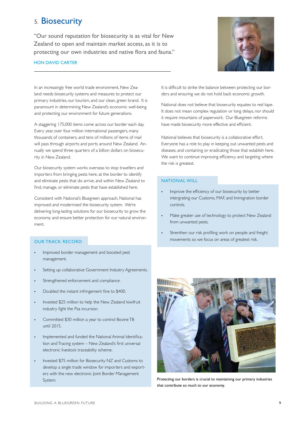### 5. Biosecurity

"Our sound reputation for biosecurity is as vital for New Zealand to open and maintain market access, as it is to protecting our own industries and native flora and fauna."

#### Hon David Carter



In an increasingly free world trade environment, New Zealand needs biosecurity systems and measures to protect our primary industries, our tourism, and our clean, green brand. It is paramount in determining New Zealand's economic well-being and protecting our environment for future generations.

A staggering 175,000 items come across our border each day. Every year, over four million international passengers, many thousands of containers, and tens of millions of items of mail will pass through airports and ports around New Zealand. Annually we spend three quarters of a billion dollars on biosecurity in New Zealand.

Our biosecurity system works overseas to stop travellers and importers from bringing pests here, at the border to identify and eliminate pests that do arrive, and within New Zealand to find, manage, or eliminate pests that have established here.

Consistent with National's Bluegreen approach, National has improved and modernised the biosecurity system. We're delivering long-lasting solutions for our biosecurity to grow the economy and ensure better protection for our natural environment.

#### Our Track Record

- Improved border management and boosted pest management.
- Setting up collaborative Government Industry Agreements.
- Strengthened enforcement and compliance.
- Doubled the instant infringement fine to \$400.
- Invested \$25 million to help the New Zealand kiwifruit industry fight the Psa incursion.
- • Committed \$30 million a year to control Bovine TB until 2015.
- Implemented and funded the National Animal Identification and Tracing system – New Zealand's first universal electronic livestock traceability scheme.
- Invested \$75 million for Biosecurity NZ and Customs to develop a single trade window for importers and exporters with the new electronic Joint Border Management System.

It is difficult to strike the balance between protecting our borders and ensuring we do not hold back economic growth.

National does not believe that biosecurity equates to red tape. It does not mean complex regulation or long delays, nor should it require mountains of paperwork. Our Bluegreen reforms have made biosecurity more effective and efficient.

National believes that biosecurity is a collaborative effort. Everyone has a role to play in keeping out unwanted pests and diseases, and containing or eradicating those that establish here. We want to continue improving efficiency and targeting where the risk is greatest.

#### National will

- Improve the efficiency of our biosecurity by better intergrating our Customs, MAF, and Immigration border controls.
- Make greater use of technology to protect New Zealand from unwanted pests.
- Strenthen our risk profiling work on people and freight movements so we focus on areas of greatest risk.



Protecting our borders is crucial to maintaining our primary industries that contribute so much to our economy.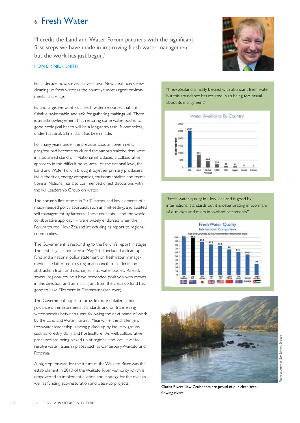### 6. Fresh Water

"I credit the Land and Water Forum partners with the significant first steps we have made in improving fresh water management but the work has just begun."



#### Hon dr Nick smith

For a decade now, surveys have shown New Zealanders view cleaning up fresh water as the country's most urgent environmental challenge.

By and large, we want local fresh water resources that are fishable, swimmable, and safe for gathering mahinga kai. There is an acknowledgement that restoring some water bodies to good ecological health will be a long-term task. Nonetheless, under National, a firm start has been made.

For many years under the previous Labour government, progress had become stuck and the various stakeholders were in a polarised stand-off. National introduced a collaborative approach in this difficult policy area. At the national level, the Land and Water Forum brought together primary producers, iwi authorities, energy companies, environmentalists and recreationists. National has also commenced direct discussions with the Iwi Leadership Group on water.

The Forum's first report in 2010 introduced key elements of a much-needed policy approach, such as limit-setting, and audited self-management by farmers. These concepts – and the whole collaborative approach – were widely endorsed when the Forum toured New Zealand introducing its report to regional communities.

The Government is responding to the Forum's report in stages. The first stage, announced in May 2011, included a clean-up fund and a national policy statement on freshwater management. The latter requires regional councils to set limits on abstraction from, and discharges into, water bodies. Already several regional councils have responded positively with moves in this direction, and an initial grant from the clean-up fund has gone to Lake Ellesmere in Canterbury (see over).

The Government hopes to provide more detailed national guidance on environmental standards, and on transferring water permits between users, following the next phase of work by the Land and Water Forum. Meanwhile, the challenge of freshwater leadership is being picked up by industry groups such as forestry, dairy, and horticulture. As well, collaborative processes are being picked up at regional and local level to resolve water issues in places such as Canterbury, Waikato, and Rotorua.

A big step forward for the future of the Waikato River was the establishment in 2010 of the Waikato River Authority, which is empowered to implement a vision and strategy for the river, as well as funding eco-restoration and clean-up projects.

"New Zealand is richly blessed with abundant fresh water but this abundance has resulted in us being too casual about its mangament."



"Fresh water quality in New Zealand is good by international standards but it is deteriorating in too many of our lakes and rivers in lowland catchments."





Photo courtesy of Guy Salmon, Ecologic

hoto courtesy of Guy Salmon, Ecologic

Clutha River: New Zealanders are proud of our clean, freeflowing rivers.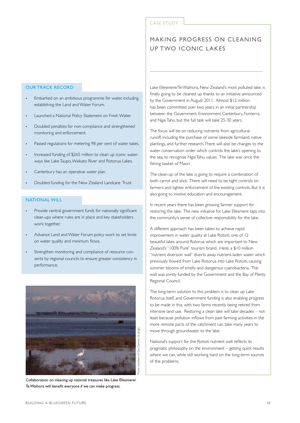#### CASE STUDY

### Making progress on cleaning up two iconic lakes

#### Our Track Record

- Embarked on an ambitious programme for water, including establishing the Land and Water Forum.
- Launched a National Policy Statement on Fresh Water.
- Doubled penalties for non-compliance and strengthened monitoring and enforcement.
- Passed regulations for metering 98 per cent of water takes.
- Increased funding of \$265 million to clean up iconic waterways like Lake Taupo, Waikato River and Rotorua Lakes.
- Canterbury has an operative water plan.
- Doubled funding for the New Zealand Landcare Trust.

#### National will

- Provide central government funds for nationally significant clean-ups where rules are in place and key stakeholders work together.
- Advance Land and Water Forum policy work to set limits on water quality and minimum flows.
- Strengthen monitoring and compliance of resource consents by regional councils to ensure greater consistency in performance.



Collaboration on cleaning up national treasures like Lake Ellesmere/ Te Waihora will benefit everyone if we can make progress.

Lake Ellesmere/Te Waihora, New Zealand's most polluted lake, is finally going to be cleaned up thanks to an initiative announced by the Government in August 2011. Almost \$12 million has been committed over two years in an initial partnership between the Government, Environment Canterbury, Fonterra, and Ngai Tahu, but the full task will take 25-30 years.

The focus will be on reducing nutrients from agricultural runoff, including the purchase of some lakeside farmland, native plantings, and further research. There will also be changes to the water conservation order which controls the lake's opening to the sea, to recognise Ngai Tahu values. The lake was once the fishing basket of Maori.

The clean-up of the lake is going to require a combination of both carrot and stick. There will need to be tight controls on farmers and tighter enforcement of the existing controls. But it is also going to involve education and encouragement.

In recent years there has been growing farmer support for restoring the lake. The new initiative for Lake Ellesmere taps into the community's sense of collective responsibility for the lake.

A different approach has been taken to achieve rapid improvement in water quality at Lake Rotoiti, one of 12 beautiful lakes around Rotorua which are important to New Zealand's "100% Pure" tourism brand. Here, a \$10 million "nutrient diversion wall" diverts away nutrient-laden water which previously flowed from Lake Rotorua into Lake Rotoiti, causing summer blooms of smelly and dangerous cyanobacteria. The wall was jointly funded by the Government and the Bay of Plenty Regional Council.

The long-term solution to this problem is to clean up Lake Rotorua itself, and Government funding is also enabling progress to be made in this, with two farms recently being retired from intensive land use. Restoring a clean lake will take decades – not least because pollution inflows from past farming activities in the more remote parts of the catchment can take many years to move through groundwater to the lake.

National's support for the Rotoiti nutrient wall reflects its pragmatic philosophy on the environment – getting quick results where we can, while still working hard on the long-term sources of the problems.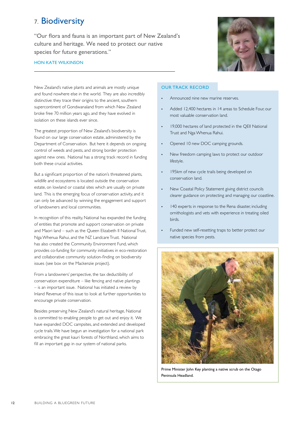### 7. Biodiversity

"Our flora and fauna is an important part of New Zealand's culture and heritage. We need to protect our native species for future generations."



#### Hon Kate Wilkinson

New Zealand's native plants and animals are mostly unique and found nowhere else in the world. They are also incredibly distinctive: they trace their origins to the ancient, southern supercontinent of Gondwanaland from which New Zealand broke free 70 million years ago, and they have evolved in isolation on these islands ever since.

The greatest proportion of New Zealand's biodiversity is found on our large conservation estate, administered by the Department of Conservation. But here it depends on ongoing control of weeds and pests, and strong border protection against new ones. National has a strong track record in funding both these crucial activities.

But a significant proportion of the nation's threatened plants, wildlife and ecosystems is located outside the conservation estate, on lowland or coastal sites which are usually on private land. This is the emerging focus of conservation activity, and it can only be advanced by winning the engagement and support of landowners and local communities.

In recognition of this reality, National has expanded the funding of entities that promote and support conservation on private and Maori land – such as the Queen Elizabeth II National Trust, Nga Whenua Rahui, and the NZ Landcare Trust. National has also created the Community Environment Fund, which provides co-funding for community initiatives in eco-restoration and collaborative community solution-finding on biodiversity issues (see box on the Mackenzie project).

From a landowners' perspective, the tax deductibility of conservation expenditure – like fencing and native plantings – is an important issue. National has initiated a review by Inland Revenue of this issue to look at further opportunities to encourage private conservation.

Besides preserving New Zealand's natural heritage, National is committed to enabling people to get out and enjoy it. We have expanded DOC campsites, and extended and developed cycle trails. We have begun an investigation for a national park embracing the great kauri forests of Northland, which aims to fill an important gap in our system of national parks.

#### Our Track Record

- Announced nine new marine reserves.
- Added 12,400 hectares in 14 areas to Schedule Four, our most valuable conservation land.
- 19,000 hectares of land protected in the QEII National Trust and Nga Whenua Rahui.
- Opened 10 new DOC camping grounds.
- New freedom camping laws to protect our outdoor lifestyle.
- 195km of new cycle trails being developed on conservation land.
- New Coastal Policy Statement giving district councils clearer guidance on protecting and managing our coastline.
- 140 experts in response to the Rena disaster, including ornithologists and vets with experience in treating oiled birds.
- Funded new self-resetting traps to better protect our native species from pests.



Prime Minister John Key planting a native scrub on the Otago Peninsula Headland.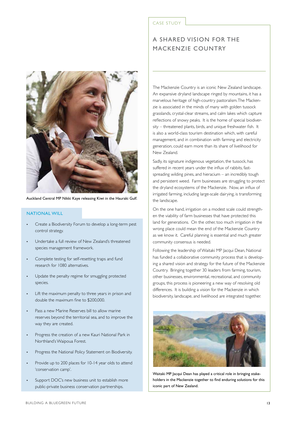

Auckland Central MP Nikki Kaye releasing Kiwi in the Hauraki Gulf.

#### **NATIONAL WILL**

- Create a Biodiversity Forum to develop a long-term pest control strategy.
- Undertake a full review of New Zealand's threatened species management framework.
- Complete testing for self-resetting traps and fund research for 1080 alternatives.
- Update the penalty regime for smuggling protected species.
- Lift the maximum penalty to three years in prison and double the maximum fine to \$200,000.
- Pass a new Marine Reserves bill to allow marine reserves beyond the territorial sea, and to improve the way they are created.
- Progress the creation of a new Kauri National Park in Northland's Waipoua Forest.
- Progress the National Policy Statement on Biodiversity.
- Provide up to 200 places for 10-14 year olds to attend 'conservation camp'.
- Support DOC's new business unit to establish more public-private business conservation partnerships.

#### CASE STUDY

### A shared vision for The Mackenzie Country

The Mackenzie Country is an iconic New Zealand landscape. An expansive dryland landscape ringed by mountains, it has a marvelous heritage of high-country pastoralism. The Mackenzie is associated in the minds of many with golden tussock grasslands, crystal-clear streams, and calm lakes which capture reflections of snowy peaks. It is the home of special biodiversity – threatened plants, birds, and unique freshwater fish. It is also a world-class tourism destination which, with careful management, and in combination with farming and electricity generation, could earn more than its share of livelihood for New Zealand.

Sadly, its signature indigenous vegetation, the tussock, has suffered in recent years under the influx of rabbits, fastspreading wilding pines, and hieracium – an incredibly tough and persistent weed. Farm businesses are struggling to protect the dryland ecosystems of the Mackenzie. Now, an influx of irrigated farming, including large-scale dairying, is transforming the landscape.

On the one hand, irrigation on a modest scale could strengthen the viability of farm businesses that have protected this land for generations. On the other, too much irrigation in the wrong place could mean the end of the Mackenzie Country as we know it. Careful planning is essential and much greater community consensus is needed.

Following the leadership of Waitaki MP Jacqui Dean, National has funded a collaborative community process that is developing a shared vision and strategy for the future of the Mackenzie Country. Bringing together 30 leaders from farming, tourism, other businesses, environmental, recreational, and community groups, this process is pioneering a new way of resolving old differences. It is building a vision for the Mackenzie in which biodiversity, landscape, and livelihood are integrated together.



Waitaki MP Jacqui Dean has played a critical role in bringing stakeholders in the Mackenzie together to find enduring solutions for this iconic part of New Zealand.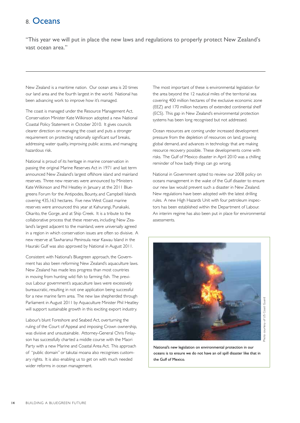### 8. Oceans

"This year we will put in place the new laws and regulations to properly protect New Zealand's vast ocean area."

New Zealand is a maritime nation. Our ocean area is 20 times our land area and the fourth largest in the world. National has been advancing work to improve how it's managed.

The coast is managed under the Resource Management Act. Conservation Minister Kate Wilkinson adopted a new National Coastal Policy Statement in October 2010. It gives councils clearer direction on managing the coast and puts a stronger requirement on protecting nationally significant surf breaks, addressing water quality, improving public access, and managing hazardous risk.

National is proud of its heritage in marine conservation in passing the original Marine Reserves Act in 1971 and last term announced New Zealand's largest offshore island and mainland reserves. Three new reserves were announced by Ministers Kate Wilkinson and Phil Heatley in January at the 2011 Bluegreens Forum for the Antipodes, Bounty, and Campbell Islands covering 435,163 hectares. Five new West Coast marine reserves were announced this year at Kahurangi, Punakaiki, Okarito, the Gorge, and at Ship Creek. It is a tribute to the collaborative process that these reserves, including New Zealand's largest adjacent to the mainland, were universally agreed in a region in which conservation issues are often so divisive. A new reserve at Tawharanui Peninsula near Kawau Island in the Hauraki Gulf was also approved by National in August 2011.

Consistent with National's Bluegreen approach, the Government has also been reforming New Zealand's aquaculture laws. New Zealand has made less progress than most countries in moving from hunting wild fish to farming fish. The previous Labour government's aquaculture laws were excessively bureaucratic, resulting in not one application being successful for a new marine farm area. The new law shepherded through Parliament in August 2011 by Aquaculture Minister Phil Heatley will support sustainable growth in this exciting export industry.

Labour's blunt Foreshore and Seabed Act, overturning the ruling of the Court of Appeal and imposing Crown ownership, was divisive and unsustainable. Attorney-General Chris Finlayson has successfully charted a middle course with the Maori Party with a new Marine and Coastal Area Act. This approach of "public domain" or takutai moana also recognises customary rights. It is also enabling us to get on with much needed wider reforms in ocean management.

The most important of these is environmental legislation for the area beyond the 12 nautical miles of the territorial sea covering 400 million hectares of the exclusive economic zone (EEZ) and 170 million hectares of extended continental shelf (ECS). This gap in New Zealand's environmental protection systems has been long recognised but not addressed.

Ocean resources are coming under increased development pressure from the depletion of resources on land, growing global demand, and advances in technology that are making resource recovery possible. These developments come with risks. The Gulf of Mexico disaster in April 2010 was a chilling reminder of how badly things can go wrong.

National in Government opted to review our 2008 policy on oceans management in the wake of the Gulf disaster to ensure our new law would prevent such a disaster in New Zealand. New regulations have been adopted with the latest drilling rules. A new High Hazards Unit with four petroleum inspectors has been established within the Department of Labour. An interim regime has also been put in place for environmental assessments.



National's new legislation on environmental protection in our oceans is to ensure we do not have an oil spill disaster like that in the Gulf of Mexico.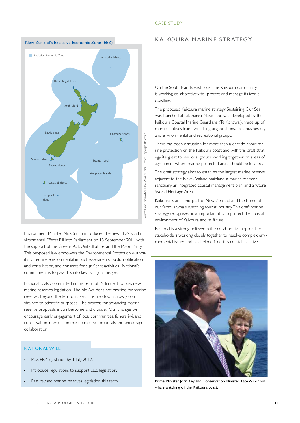

Environment Minister Nick Smith introduced the new EEZ/ECS Environmental Effects Bill into Parliament on 13 September 2011 with the support of the Greens, Act, UnitedFuture, and the Maori Party. This proposed law empowers the Environmental Protection Authority to require environmental impact assessments, public notification and consultation, and consents for significant activities. National's commitment is to pass this into law by 1 July this year.

National is also committed in this term of Parliament to pass new marine reserves legislation. The old Act does not provide for marine reserves beyond the territorial sea. It is also too narrowly constrained to scientific purposes. The process for advancing marine reserve proposals is cumbersome and divisive. Our changes will encourage early engagement of local communities, fishers, iwi, and conservation interests on marine reserve proposals and encourage collaboration.

#### **NATIONAL WILL**

- Pass EEZ legislation by 1 July 2012.
- Introduce regulations to support EEZ legislation.
- Pass revised marine reserves legislation this term.

#### CASE STUDY

#### Kaikoura Marine Strategy

On the South Island's east coast, the Kaikoura community is working collaboratively to protect and manage its iconic coastline.

The proposed Kaikoura marine strategy Sustaining Our Sea was launched at Takahanga Marae and was developed by the Kaikoura Coastal Marine Guardians (Te Korowai), made up of representatives from iwi, fishing organisations, local businesses, and environmental and recreational groups.

There has been discussion for more than a decade about marine protection on the Kaikoura coast and with this draft strategy it's great to see local groups working together on areas of agreement where marine protected areas should be located.

The draft strategy aims to establish the largest marine reserve adjacent to the New Zealand mainland, a marine mammal sanctuary, an integrated coastal management plan, and a future World Heritage Area.

Kaikoura is an iconic part of New Zealand and the home of our famous whale watching tourist industry. This draft marine strategy recognises how important it is to protect the coastal environment of Kaikoura and its future.

National is a strong believer in the collaborative approach of stakeholders working closely together to resolve complex environmental issues and has helped fund this coastal initiative.



Prime Minister John Key and Conservation Minister Kate Wilkinson whale watching off the Kaikoura coast.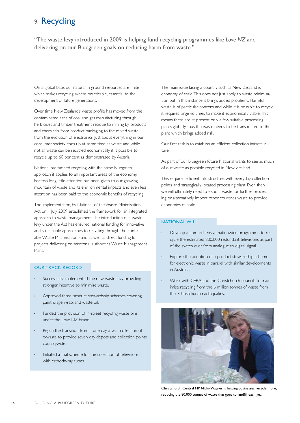### 9. Recycling

"The waste levy introduced in 2009 is helping fund recycling programmes like *Love NZ* and delivering on our Bluegreen goals on reducing harm from waste."

On a global basis our natural in-ground resources are finite which makes recycling, where practicable, essential to the development of future generations.

Over time New Zealand's waste profile has moved from the contaminated sites of coal and gas manufacturing through herbicides and timber treatment residue to mining by-products and chemicals, from product packaging to the mixed waste from the evolution of electronics. Just about everything in our consumer society ends up at some time as waste and while not all waste can be recycled economically it is possible to recycle up to 60 per cent as demonstrated by Austria.

National has tackled recycling with the same Bluegreen approach it applies to all important areas of the economy. For too long little attention has been given to our growing mountain of waste and its environmental impacts and even less attention has been paid to the economic benefits of recycling.

The implementation, by National, of the Waste Minimisation Act on 1 July 2009 established the framework for an integrated approach to waste management. The introduction of a waste levy under the Act has ensured national funding for innovative and sustainable approaches to recycling through the contestable Waste Minimisation Fund as well as direct funding for projects delivering on territorial authorities Waste Management Plans.

#### Our track record

- Successfully implemented the new waste levy providing stronger incentive to minimise waste.
- Approved three product stewardship schemes covering paint, silage wrap, and waste oil.
- Funded the provision of in-street recycling waste bins under the Love NZ brand.
- Begun the transition from a one day a year collection of e-waste to provide seven day depots and collection points countrywide.
- Initiated a trial scheme for the collection of televisions with cathode-ray tubes.

The main issue facing a country such as New Zealand is economy of scale. This does not just apply to waste minimisation but in this instance it brings added problems. Harmful waste is of particular concern and while it is possible to recycle it requires large volumes to make it economically viable. This means there are at present only a few suitable processing plants globally, thus the waste needs to be transported to the plant which brings added risk.

Our first task is to establish an efficient collection infrastructure.

As part of our Bluegreen future National wants to see as much of our waste as possible recycled in New Zealand.

This requires efficient infrastructure with everyday collection points and strategically located processing plant. Even then we will ultimately need to export waste for further processing or alternatively import other countries waste to provide economies of scale.

#### NATIONAL WILL

- Develop a comprehensive nationwide programme to recycle the estimated 800,000 redundant televisions as part of the switch over from analogue to digital signal.
- Explore the adoption of a product stewardship scheme for electronic waste in parallel with similar developments in Australia.
- Work with CERA and the Christchurch councils to maximise recycling from the 6 million tonnes of waste from the Christchurch earthquakes.



Christchurch Central MP Nicky Wagner is helping businesses recycle more, reducing the 80,000 tonnes of waste that goes to landfill each year.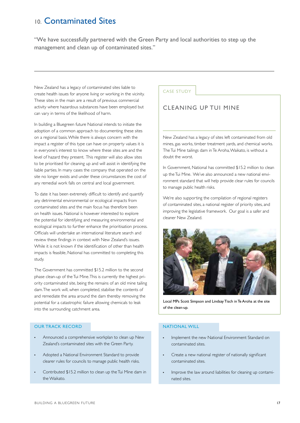### 10. Contaminated Sites

"We have successfully partnered with the Green Party and local authorities to step up the management and clean up of contaminated sites."

New Zealand has a legacy of contaminated sites liable to create health issues for anyone living or working in the vicinity. These sites in the main are a result of previous commercial activity where hazardous substances have been employed but can vary in terms of the likelihood of harm.

In building a Bluegreen future National intends to initiate the adoption of a common approach to documenting these sites on a regional basis. While there is always concern with the impact a register of this type can have on property values it is in everyone's interest to know where these sites are and the level of hazard they present. This register will also allow sites to be prioritised for cleaning up and will assist in identifying the liable parties. In many cases the company that operated on the site no longer exists and under these circumstances the cost of any remedial work falls on central and local government.

To date it has been extremely difficult to identify and quantify any detrimental environmental or ecological impacts from contaminated sites and the main focus has therefore been on health issues. National is however interested to explore the potential for identifying and measuring environmental and ecological impacts to further enhance the prioritisation process. Officials will undertake an international literature search and review these findings in context with New Zealand's issues. While it is not known if the identification of other than health impacts is feasible, National has committed to completing this study.

The Government has committed \$15.2 million to the second phase clean-up of the Tui Mine. This is currently the highest priority contaminated site, being the remains of an old mine tailing dam. The work will, when completed, stabilise the contents of and remediate the area around the dam thereby removing the potential for a catastrophic failure allowing chemicals to leak into the surrounding catchment area.

#### Our track record

- Announced a comprehensive workplan to clean up New Zealand's contaminated sites with the Green Party.
- Adopted a National Environment Standard to provide clearer rules for councils to manage public health risks.
- Contributed \$15.2 million to clean up the Tui Mine dam in the Waikato.

#### CASE STUDY

#### cleaning up tui mine

New Zealand has a legacy of sites left contaminated from old mines, gas works, timber treatment yards, and chemical works. The Tui Mine tailings dam in Te Aroha, Waikato, is without a doubt the worst.

In Government, National has committed \$15.2 million to clean up the Tui Mine. We've also announced a new national environment standard that will help provide clear rules for councils to manage public health risks.

We're also supporting the compilation of regional registers of contaminated sites, a national register of priority sites, and improving the legislative framework. Our goal is a safer and cleaner New Zealand.



Local MPs Scott Simpson and Lindsay Tisch in Te Aroha at the site of the clean-up.

#### National will

- Implement the new National Environment Standard on contaminated sites.
- Create a new national register of nationally significant contaminated sites.
- Improve the law around liabilities for cleaning up contaminated sites.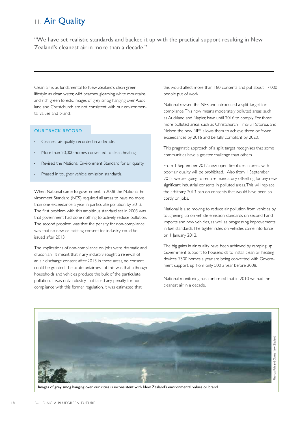### 11. Air Quality

"We have set realistic standards and backed it up with the practical support resulting in New Zealand's cleanest air in more than a decade."

Clean air is as fundamental to New Zealand's clean green lifestyle as clean water, wild beaches, gleaming white mountains, and rich green forests. Images of grey smog hanging over Auckland and Christchurch are not consistent with our environmental values and brand.

#### Our track record

- Cleanest air quality recorded in a decade.
- More than 20,000 homes converted to clean heating.
- Revised the National Environment Standard for air quality.
- Phased in tougher vehicle emission standards.

When National came to government in 2008 the National Environment Standard (NES) required all areas to have no more than one exceedance a year in particulate pollution by 2013. The first problem with this ambitious standard set in 2003 was that government had done nothing to actively reduce pollution. The second problem was that the penalty for non-compliance was that no new or existing consent for industry could be issued after 2013.

The implications of non-compliance on jobs were dramatic and draconian. It meant that if any industry sought a renewal of an air discharge consent after 2013 in these areas, no consent could be granted. The acute unfairness of this was that although households and vehicles produce the bulk of the particulate pollution, it was only industry that faced any penalty for noncompliance with this former regulation. It was estimated that

this would affect more than 180 consents and put about 17,000 people put of work.

National revised the NES and introduced a split target for compliance. This now means moderately polluted areas, such as Auckland and Napier, have until 2016 to comply. For those more polluted areas, such as Christchurch, Timaru, Rotorua, and Nelson the new NES allows them to achieve three or fewer exceedances by 2016 and be fully compliant by 2020.

This pragmatic approach of a split target recognises that some communities have a greater challenge than others.

From 1 September 2012, new open fireplaces in areas with poor air quality will be prohibited. Also from 1 September 2012, we are going to require mandatory offsetting for any new significant industrial consents in polluted areas. This will replace the arbitrary 2013 ban on consents that would have been so costly on jobs.

National is also moving to reduce air pollution from vehicles by toughening up on vehicle emission standards on second-hand imports and new vehicles, as well as progressing improvements in fuel standards. The tighter rules on vehicles came into force on 1 January 2012.

The big gains in air quality have been achieved by ramping up Government support to households to install clean air heating devices. 7500 homes a year are being converted with Government support, up from only 500 a year before 2008.

National monitoring has confirmed that in 2010 we had the cleanest air in a decade.



Images of grey smog hanging over our cities is inconsistent with New Zealand's environmental values or brand.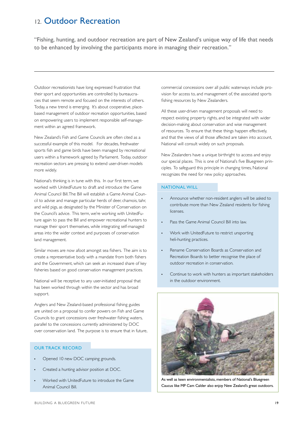### 12. Outdoor Recreation

"Fishing, hunting, and outdoor recreation are part of New Zealand's unique way of life that needs to be enhanced by involving the participants more in managing their recreation."

Outdoor recreationists have long expressed frustration that their sport and opportunities are controlled by bureaucracies that seem remote and focused on the interests of others. Today, a new trend is emerging. It's about cooperative, placebased management of outdoor recreation opportunities, based on empowering users to implement responsible self-management within an agreed framework.

New Zealand's Fish and Game Councils are often cited as a successful example of this model. For decades, freshwater sports fish and game birds have been managed by recreational users within a framework agreed by Parliament. Today, outdoor recreation sectors are pressing to extend user-driven models more widely.

National's thinking is in tune with this. In our first term, we worked with UnitedFuture to draft and introduce the Game Animal Council Bill. The Bill will establish a Game Animal Council to advise and manage particular herds of deer, chamois, tahr, and wild pigs, as designated by the Minister of Conservation on the Council's advice. This term, we're working with UnitedFuture again to pass the Bill and empower recreational hunters to manage their sport themselves, while integrating self-managed areas into the wider context and purposes of conservation land management.

Similar moves are now afoot amongst sea fishers. The aim is to create a representative body with a mandate from both fishers and the Government, which can seek an increased share of key fisheries based on good conservation management practices.

National will be receptive to any user-initiated proposal that has been worked through within the sector and has broad support.

Anglers and New Zealand-based professional fishing guides are united on a proposal to confer powers on Fish and Game Councils to grant concessions over freshwater fishing waters, parallel to the concessions currently administered by DOC over conservation land. The purpose is to ensure that in future,

#### Our track record

- Opened 10 new DOC camping grounds.
- Created a hunting advisor position at DOC.
- Worked with UnitedFuture to introduce the Game Animal Council Bill.

commercial concessions over all public waterways include provision for access to, and management of, the associated sports fishing resources by New Zealanders.

All these user-driven management proposals will need to respect existing property rights, and be integrated with wider decision-making about conservation and wise management of resources. To ensure that these things happen effectively, and that the views of all those affected are taken into account, National will consult widely on such proposals.

New Zealanders have a unique birthright to access and enjoy our special places. This is one of National's five Bluegreen principles. To safeguard this principle in changing times, National recognizes the need for new policy approaches.

#### National will

- Announce whether non-resident anglers will be asked to contribute more than New Zealand residents for fishing licenses.
- Pass the Game Animal Council Bill into law.
- Work with UnitedFuture to restrict unsporting heli-hunting practices.
- Rename Conservation Boards as Conservation and Recreation Boards to better recognise the place of outdoor recreation in conservation.
- Continue to work with hunters as important stakeholders in the outdoor environment.



As well as keen environmentalists, members of National's Bluegreen Caucus like MP Cam Calder also enjoy New Zealand's great outdoors.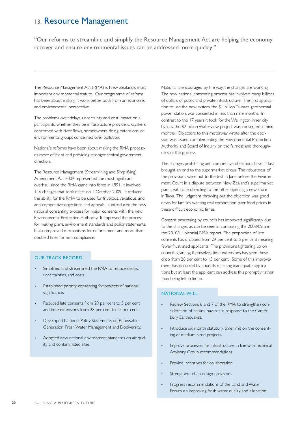### 13. Resource Management

"Our reforms to streamline and simplify the Resource Management Act are helping the economy recover and ensure environmental issues can be addressed more quickly."

The Resource Management Act (RMA) is New Zealand's most important environmental statute. Our programme of reform has been about making it work better both from an economic and environmental perspective.

The problems over delays, uncertainty, and cost impact on all participants, whether they be infrastructure providers, kayakers concerned with river flows, homeowners doing extensions, or environmental groups concerned over pollution.

National's reforms have been about making the RMA processes more efficient and providing stronger central government direction.

The Resource Management (Streamlining and Simplifying) Amendment Act 2009 represented the most significant overhaul since the RMA came into force in 1991. It involved 146 changes that took effect on 1 October 2009. It reduced the ability for the RMA to be used for frivolous, vexatious, and anti-competitive objections and appeals. It introduced the new national consenting process for major consents with the new Environmental Protection Authority. It improved the process for making plans, environment standards and policy statements. It also improved mechanisms for enforcement and more than doubled fines for non-compliance.

#### Our Track Record

- Simplified and streamlined the RMA to reduce delays, uncertainties, and costs.
- Established priority consenting for projects of national significance.
- Reduced late consents from 29 per cent to 5 per cent and time extensions from 28 per cent to 15 per cent.
- Developed National Policy Statements on Renewable Generation, Fresh Water Management and Biodiversity.
- Adopted new national environment standards on air quality and contaminated sites.

National is encouraged by the way the changes are working. The new national consenting process has involved many billions of dollars of public and private infrastructure. The first application to use the new system, the \$1 billion Tauhara geothermal power station, was consented in less than nine months. In contrast to the 17 years it took for the Wellington inner city bypass, the \$2 billion Waterview project was consented in nine months. Objectors to this motorway wrote after the decision was issued complementing the Environmental Protection Authority and Board of Inquiry on the fairness and thoroughness of the process.

The changes prohibiting anti-competitive objections have at last brought an end to the supermarket circus. The robustness of the provisions were put to the test in June before the Environment Court in a dispute between New Zealand's supermarket giants, with one objecting to the other opening a new store in Tawa. The judgment throwing out the objection was good news for families wanting real competition over food prices in these difficult economic times.

Consent processing by councils has improved significantly due to the changes, as can be seen in comparing the 2008/09 and the 2010/11 biennial RMA report. The proportion of late consents has dropped from 29 per cent to 5 per cent meaning fewer frustrated applicants. The provisions tightening up on councils granting themselves time extensions has seen these drop from 28 per cent to 15 per cent. Some of this improvement has occurred by councils rejecting inadequate applications but at least the applicant can address this promptly rather than being left in limbo.

#### National Will

- Review Sections 6 and 7 of the RMA to strengthen consideration of natural hazards in response to the Canterbury Earthquakes.
- Introduce six month statutory time limit on the consenting of medium-sized projects.
- Improve processes for infrastructure in line with Technical Advisory Group recommendations.
- Provide incentives for collaboration.
- Strengthen urban design provisions.
- Progress recommendations of the Land and Water Forum on improving fresh water quality and allocation.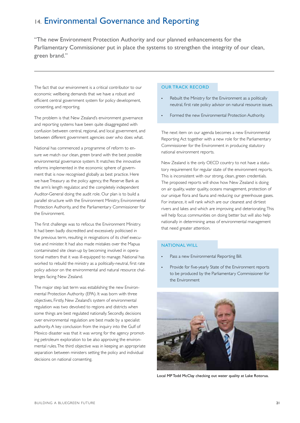### 14. Environmental Governance and Reporting

"The new Environment Protection Authority and our planned enhancements for the Parliamentary Commissioner put in place the systems to strengthen the integrity of our clean, green brand."

The fact that our environment is a critical contributor to our economic wellbeing demands that we have a robust and efficient central government system for policy development, consenting, and reporting.

The problem is that New Zealand's environment governance and reporting systems have been quite disaggregated with confusion between central, regional, and local government, and between different government agencies over who does what.

National has commenced a programme of reform to ensure we match our clean, green brand with the best possible environmental governance system. It matches the innovative reforms implemented in the economic sphere of government that is now recognised globally as best practice. Here we have Treasury as the policy agency, the Reserve Bank as the arm's length regulator, and the completely independent Auditor-General doing the audit role. Our plan is to build a parallel structure with the Environment Ministry, Environmental Protection Authority, and the Parliamentary Commissioner for the Environment.

The first challenge was to refocus the Environment Ministry. It had been badly discredited and excessively politicised in the previous term, resulting in resignations of its chief executive and minister. It had also made mistakes over the Mapua contaminated site clean-up by becoming involved in operational matters that it was ill-equipped to manage. National has worked to rebuild the ministry as a politically-neutral, first rate policy advisor on the environmental and natural resource challenges facing New Zealand.

The major step last term was establishing the new Environmental Protection Authority (EPA). It was born with three objectives, Firstly, New Zealand's system of environmental regulation was two devolved to regions and districts when some things are best regulated nationally. Secondly, decisions over environmental regulation are best made by a specialist authority. A key conclusion from the inquiry into the Gulf of Mexico disaster was that it was wrong for the agency promoting petroleum exploration to be also approving the environmental rules. The third objective was in keeping an appropriate separation between ministers setting the policy and individual decisions on national consenting.

#### Our Track Record

- Rebuilt the Ministry for the Environment as a politically neutral, first rate policy advisor on natural resource issues.
- Formed the new Environmental Protection Authority.

The next item on our agenda becomes a new Environmental Reporting Act together with a new role for the Parliamentary Commissioner for the Environment in producing statutory national environment reports.

New Zealand is the only OECD country to not have a statutory requirement for regular state of the environment reports. This is inconsistent with our strong, clean, green credentials. The proposed reports will show how New Zealand is doing on air quality, water quality, oceans management, protection of our unique flora and fauna and reducing our greenhouse gases. For instance, it will rank which are our cleanest and dirtiest rivers and lakes and which are improving and deteriorating. This will help focus communities on doing better but will also help nationally in determining areas of environmental management that need greater attention.

#### National WILL

- Pass a new Environmental Reporting Bill.
- Provide for five-yearly State of the Environment reports to be produced by the Parliamentary Commissioner for the Environment



Local MP Todd McClay checking out water quality at Lake Rotorua.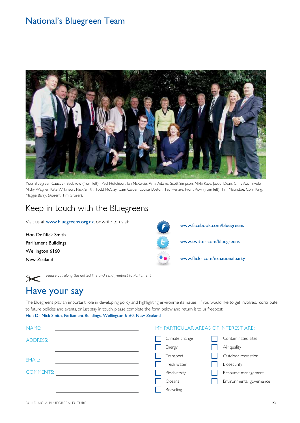### National's Bluegreen Team



Your Bluegreen Caucus - Back row (from left): Paul Hutchison, Ian McKelvie, Amy Adams, Scott Simpson, Nikki Kaye, Jacqui Dean, Chris Auchinvole, Nicky Wagner, Kate Wilkinson, Nick Smith, Todd McClay, Cam Calder, Louise Upston, Tau Henare. Front Row (from left): Tim Macindoe, Colin King, Maggie Barry. (Absent: Tim Groser).

## Keep in touch with the Bluegreens

*Please cut along the dotted line and send freepost to Parliament*

Visit us at www.bluegreens.org.nz, or write to us at:

Hon Dr Nick Smith Parliament Buildings Wellington 6160 New Zealand

www.facebook.com/bluegreens

www.twitter.com/bluegreens

www.flickr.com/nznationalparty

# Have your say

The Bluegreens play an important role in developing policy and highlighting environmental issues. If you would like to get involved, contribute to future policies and events, or just stay in touch, please complete the form below and return it to us freepost: Hon Dr Nick Smith, Parliament Buildings, Wellington 6160, New Zealand

| NAME:            |  | MY PARTICULAR AREAS OF INTEREST ARE: |                |                          |  |
|------------------|--|--------------------------------------|----------------|--------------------------|--|
| <b>ADDRESS:</b>  |  |                                      | Climate change | Contaminated sites       |  |
|                  |  | Energy                               |                | Air quality              |  |
| EMAIL:           |  | Transport                            |                | Outdoor recreation       |  |
|                  |  | Fresh water                          |                | Biosecurity              |  |
| <b>COMMENTS:</b> |  | Biodiversity                         |                | Resource management      |  |
|                  |  | Oceans                               |                | Environmental governance |  |
|                  |  | Recycling                            |                |                          |  |